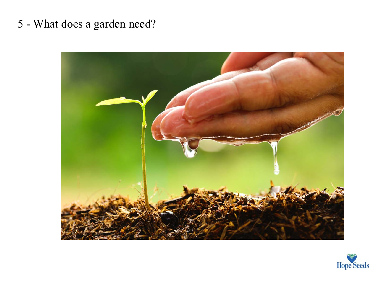## 5 - What does a garden need?